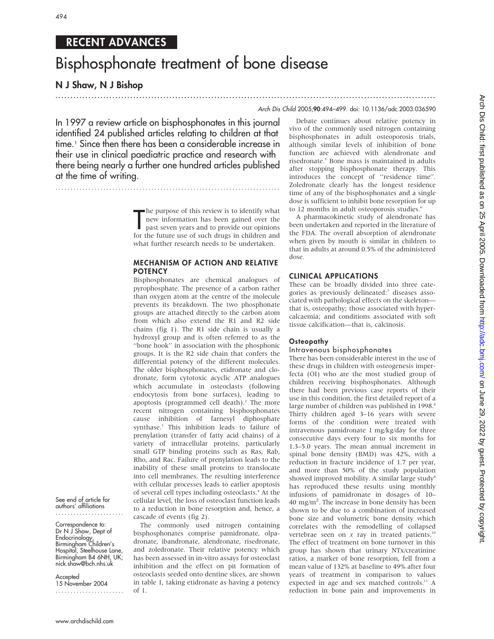# RECENT ADVANCES

# Bisphosphonate treatment of bone disease

# N J Shaw, N J Bishop

# ............................................................................................................................... Arch Dis Child 2005;90:494–499. doi: 10.1136/adc.2003.036590

In 1997 a review article on bisphosphonates in this journal identified 24 published articles relating to children at that time.1 Since then there has been a considerable increase in their use in clinical paediatric practice and research with there being nearly a further one hundred articles published at the time of writing.

...........................................................................

The purpose of this review is to identify what<br>new information has been gained over the<br>past seven years and to provide our opinions<br>for the future use of such drugs in children and **h** he purpose of this review is to identify what new information has been gained over the past seven years and to provide our opinions what further research needs to be undertaken.

# MECHANISM OF ACTION AND RELATIVE **POTENCY**

Bisphosphonates are chemical analogues of pyrophosphate. The presence of a carbon rather than oxygen atom at the centre of the molecule prevents its breakdown. The two phosphonate groups are attached directly to the carbon atom from which also extend the R1 and R2 side chains (fig 1). The R1 side chain is usually a hydroxyl group and is often referred to as the ''bone hook'' in association with the phosphonic groups. It is the R2 side chain that confers the differential potency of the different molecules. The older bisphosphonates, etidronate and clodronate, form cytotoxic acyclic ATP analogues which accumulate in osteoclasts (following endocytosis from bone surfaces), leading to apoptosis (programmed cell death).<sup>2</sup> The more recent nitrogen containing bisphosphonates cause inhibition of farnesyl diphosphate synthase.3 This inhibition leads to failure of prenylation (transfer of fatty acid chains) of a variety of intracellular proteins, particularly small GTP binding proteins such as Ras, Rab, Rho, and Rac. Failure of prenylation leads to the inability of these small proteins to translocate into cell membranes. The resulting interference with cellular processes leads to earlier apoptosis of several cell types including osteoclasts.4 At the cellular level, the loss of osteoclast function leads to a reduction in bone resorption and, hence, a cascade of events (fig 2).

The commonly used nitrogen containing bisphosphonates comprise pamidronate, olpadronate, ibandronate, alendronate, risedronate, and zoledronate. Their relative potency which has been assessed in in-vitro assays for osteoclast inhibition and the effect on pit formation of osteoclasts seeded onto dentine slices, are shown in table 1, taking etidronate as having a potency of 1.

Debate continues about relative potency in vivo of the commonly used nitrogen containing bisphosphonates in adult osteoporosis trials, although similar levels of inhibition of bone function are achieved with alendronate and risedronate.<sup>5</sup> Bone mass is maintained in adults after stopping bisphosphonate therapy. This introduces the concept of ''residence time''. Zoledronate clearly has the longest residence time of any of the bisphosphonates and a single dose is sufficient to inhibit bone resorption for up to 12 months in adult osteoporosis studies.<sup>6</sup>

A pharmacokinetic study of alendronate has been undertaken and reported in the literature of the FDA. The overall absorption of alendronate when given by mouth is similar in children to that in adults at around 0.5% of the administered dose.

## CLINICAL APPLICATIONS

These can be broadly divided into three categories as previously delineated:<sup>7</sup> diseases associated with pathological effects on the skeleton that is, osteopathy; those associated with hypercalcaemia; and conditions associated with soft tissue calcification—that is, calcinosis.

# **Osteopathy**

# Intravenous bisphosphonates

There has been considerable interest in the use of these drugs in children with osteogenesis imperfecta (OI) who are the most studied group of children receiving bisphosphonates. Although there had been previous case reports of their use in this condition, the first detailed report of a large number of children was published in 1998.<sup>8</sup> Thirty children aged 3–16 years with severe forms of the condition were treated with intravenous pamidronate 1 mg/kg/day for three consecutive days every four to six months for 1.3–5.0 years. The mean annual increment in spinal bone density (BMD) was 42%, with a reduction in fracture incidence of 1.7 per year, and more than 50% of the study population showed improved mobility. A similar large study<sup>9</sup> has reproduced these results using monthly infusions of pamidronate in dosages of 10– 40 mg/m<sup>2</sup>. The increase in bone density has been shown to be due to a combination of increased bone size and volumetric bone density which correlates with the remodelling of collapsed vertebrae seen on  $x$  ray in treated patients.<sup>10</sup> The effect of treatment on bone turnover in this group has shown that urinary NTx/creatinine ratios, a marker of bone resorption, fell from a mean value of 132% at baseline to 49% after four years of treatment in comparison to values expected in age and sex matched controls.<sup>11</sup> A reduction in bone pain and improvements in

See end of article for authors' affiliations .......................

Correspondence to: Dr N J Shaw, Dept of Endocrinology, Birmingham Children's Hospital, Steelhouse Lane, Birmingham B4 6NH, UK; nick.shaw@bch.nhs.uk

**Accepted** 15 November 2004 .......................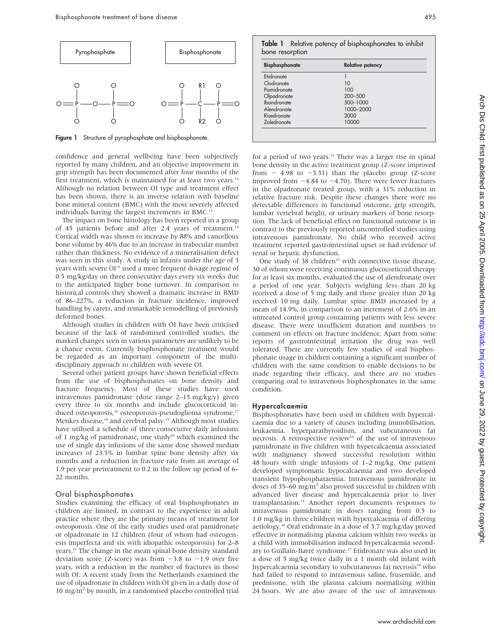

Figure 1 Structure of pyrophosphate and bisphosphonate.

confidence and general wellbeing have been subjectively reported by many children, and an objective improvement in grip strength has been documented after four months of the first treatment, which is maintained for at least two years.<sup>12</sup> Although no relation between OI type and treatment effect has been shown, there is an inverse relation with baseline bone mineral content (BMC) with the most severely affected individuals having the largest increments in BMC.

The impact on bone histology has been reported in a group of 45 patients before and after 2.4 years of treatment.<sup>14</sup> Cortical width was shown to increase by 88% and cancellous bone volume by 46% due to an increase in trabecular number rather than thickness. No evidence of a mineralisation defect was seen in this study. A study in infants under the age of 3 years with severe OI<sup>15</sup> used a more frequent dosage regime of 0.5 mg/kg/day on three consecutive days every six weeks due to the anticipated higher bone turnover. In comparison to historical controls they showed a dramatic increase in BMD of 86–227%, a reduction in fracture incidence, improved handling by carers, and remarkable remodelling of previously deformed bones.

Although studies in children with OI have been criticised because of the lack of randomised controlled studies, the marked changes seen in various parameters are unlikely to be a chance event. Currently bisphosphonate treatment would be regarded as an important component of the multidisciplinary approach to children with severe OI.

Several other patient groups have shown beneficial effects from the use of bisphosphonates on bone density and fracture frequency. Most of these studies have used intravenous pamidronate (dose range 2–15 mg/kg/y) given every three to six months and include glucocorticoid induced osteoporosis,<sup>16</sup> osteoporosis-pseudoglioma syndrome,<sup>17</sup> Menkes disease,<sup>18</sup> and cerebral palsy.<sup>19</sup> Although most studies have utilised a schedule of three consecutive daily infusions of 1 mg/kg of pamidronate, one study<sup>20</sup> which examined the use of single day infusions of the same dose showed median increases of 23.5% in lumbar spine bone density after six months and a reduction in fracture rate from an average of 1.9 per year pretreatment to 0.2 in the follow up period of 6– 22 months.

#### Oral bisphosphonates

Studies examining the efficacy of oral bisphosphonates in children are limited, in contrast to the experience in adult practice where they are the primary means of treatment for osteoporosis. One of the early studies used oral pamidronate or olpadronate in 12 children (four of whom had osteogenesis imperfecta and six with idiopathic osteoporosis) for 2–8 years.<sup>21</sup> The change in the mean spinal bone density standard deviation score (Z-score) was from  $-3.8$  to  $-1.9$  over five years, with a reduction in the number of fractures in those with OI. A recent study from the Netherlands examined the use of olpadronate in children with OI given in a daily dose of 10 mg/m<sup>2</sup> by mouth, in a randomised placebo controlled trial

|                 |  | Table 1 Relative potency of bisphosphonates to inhibit |  |
|-----------------|--|--------------------------------------------------------|--|
| bone resorption |  |                                                        |  |

| <b>Bisphosphonate</b> | <b>Relative potency</b> |  |  |
|-----------------------|-------------------------|--|--|
| Etidronate            |                         |  |  |
| Clodronate            | 10                      |  |  |
| Pamidronate           | 100                     |  |  |
| Olpadronate           | 200-500                 |  |  |
| <b>Ibandronate</b>    | 500-1000                |  |  |
| Alendronate           | 1000-2000               |  |  |
| Risedronate           | 2000                    |  |  |
| <b>Zoledronate</b>    | 10000                   |  |  |

for a period of two years.<sup>22</sup> There was a larger rise in spinal bone density in the active treatment group (Z-score improved from  $-$  4.98 to  $-3.31$ ) than the placebo group (Z-score improved from  $-4.84$  to  $-4.70$ ). There were fewer fractures in the olpadronate treated group, with a 31% reduction in relative fracture risk. Despite these changes there were no detectable differences in functional outcome, grip strength, lumbar vertebral height, or urinary markers of bone resorption. The lack of beneficial effect on functional outcome is in contrast to the previously reported uncontrolled studies using intravenous pamidronate. No child who received active treatment reported gastrointestinal upset or had evidence of renal or hepatic dysfunction.

One study of 38 children<sup>23</sup> with connective tissue disease, 30 of whom were receiving continuous glucocorticoid therapy for at least six months, evaluated the use of alendronate over a period of one year. Subjects weighing less than 20 kg received a dose of 5 mg daily and those greater than 20 kg received 10 mg daily. Lumbar spine BMD increased by a mean of 14.9%, in comparison to an increment of 2.6% in an untreated control group containing patients with less severe disease. There were insufficient duration and numbers to comment on effects on fracture incidence. Apart from some reports of gastrointestinal irritation the drug was well tolerated. There are currently few studies of oral bisphosphonate usage in children containing a significant number of children with the same condition to enable decisions to be made regarding their efficacy, and there are no studies comparing oral to intravenous bisphosphonates in the same condition.

#### Hypercalcaemia

Bisphosphonates have been used in children with hypercalcaemia due to a variety of causes including immobilisation, leukaemia, hyperparathyroidism, and subcutaneous fat necrosis. A retrospective review<sup>24</sup> of the use of intravenous pamidronate in five children with hypercalcaemia associated with malignancy showed successful resolution within 48 hours with single infusions of 1–2 mg/kg. One patient developed symptomatic hypocalcaemia and two developed transient hypophosphataemia. Intravenous pamidronate in doses of 35–60 mg/ $m<sup>2</sup>$  also proved successful in children with advanced liver disease and hypercalcaemia prior to liver transplantation.25 Another report documents responses to intravenous pamidronate in doses ranging from 0.5 to 1.0 mg/kg in three children with hypercalcaemia of differing aetiology.26 Oral etidronate in a dose of 3.7 mg/kg/day proved effective in normalising plasma calcium within two weeks in a child with immobilisation induced hypercalcaemia secondary to Guillain-Barré syndrome.<sup>27</sup> Etidronate was also used in a dose of 5 mg/kg twice daily in a 1 month old infant with hypercalcaemia secondary to subcutaneous fat necrosis<sup>28</sup> who had failed to respond to intravenous saline, frusemide, and prednisone, with the plasma calcium normalising within 24 hours. We are also aware of the use of intravenous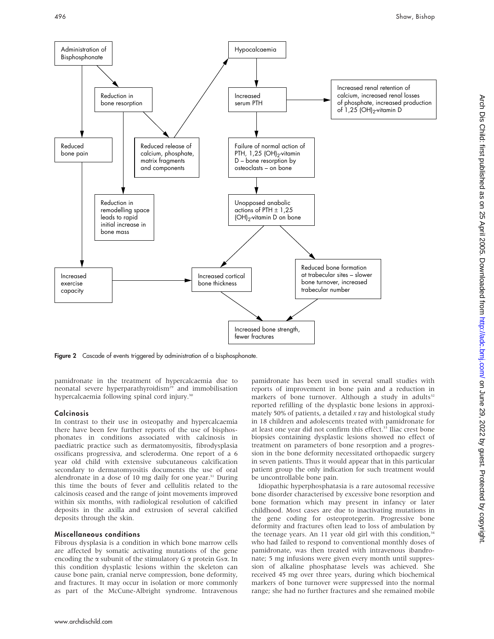

Figure 2 Cascade of events triggered by administration of a bisphosphonate.

pamidronate in the treatment of hypercalcaemia due to neonatal severe hyperparathyroidism<sup>29</sup> and immobilisation hypercalcaemia following spinal cord injury.<sup>30</sup>

#### **Calcinosis**

In contrast to their use in osteopathy and hypercalcaemia there have been few further reports of the use of bisphosphonates in conditions associated with calcinosis in paediatric practice such as dermatomyositis, fibrodysplasia ossificans progressiva, and scleroderma. One report of a 6 year old child with extensive subcutaneous calcification secondary to dermatomyositis documents the use of oral alendronate in a dose of 10 mg daily for one year. $31$  During this time the bouts of fever and cellulitis related to the calcinosis ceased and the range of joint movements improved within six months, with radiological resolution of calcified deposits in the axilla and extrusion of several calcified deposits through the skin.

#### Miscellaneous conditions

Fibrous dysplasia is a condition in which bone marrow cells are affected by somatic activating mutations of the gene encoding the  $\alpha$  subunit of the stimulatory G  $\alpha$  protein Gs $\alpha$ . In this condition dysplastic lesions within the skeleton can cause bone pain, cranial nerve compression, bone deformity, and fractures. It may occur in isolation or more commonly as part of the McCune-Albright syndrome. Intravenous

pamidronate has been used in several small studies with reports of improvement in bone pain and a reduction in markers of bone turnover. Although a study in adults<sup>32</sup> reported refilling of the dysplastic bone lesions in approximately 50% of patients, a detailed  $x$  ray and histological study in 18 children and adolescents treated with pamidronate for at least one year did not confirm this effect.<sup>33</sup> Iliac crest bone biopsies containing dysplastic lesions showed no effect of treatment on parameters of bone resorption and a progression in the bone deformity necessitated orthopaedic surgery in seven patients. Thus it would appear that in this particular patient group the only indication for such treatment would be uncontrollable bone pain.

Idiopathic hyperphosphatasia is a rare autosomal recessive bone disorder characterised by excessive bone resorption and bone formation which may present in infancy or later childhood. Most cases are due to inactivating mutations in the gene coding for osteoprotegerin. Progressive bone deformity and fractures often lead to loss of ambulation by the teenage years. An 11 year old girl with this condition, $34$ who had failed to respond to conventional monthly doses of pamidronate, was then treated with intravenous ibandronate; 5 mg infusions were given every month until suppression of alkaline phosphatase levels was achieved. She received 45 mg over three years, during which biochemical markers of bone turnover were suppressed into the normal range; she had no further fractures and she remained mobile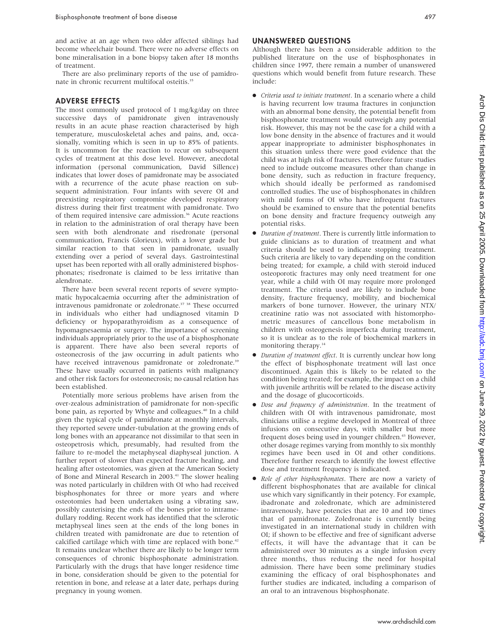and active at an age when two older affected siblings had become wheelchair bound. There were no adverse effects on bone mineralisation in a bone biopsy taken after 18 months of treatment.

There are also preliminary reports of the use of pamidronate in chronic recurrent multifocal osteitis.<sup>35</sup>

## ADVERSE EFFECTS

The most commonly used protocol of 1 mg/kg/day on three successive days of pamidronate given intravenously results in an acute phase reaction characterised by high temperature, musculoskeletal aches and pains, and, occasionally, vomiting which is seen in up to 85% of patients. It is uncommon for the reaction to recur on subsequent cycles of treatment at this dose level. However, anecdotal information (personal communication, David Sillence) indicates that lower doses of pamidronate may be associated with a recurrence of the acute phase reaction on subsequent administration. Four infants with severe OI and preexisting respiratory compromise developed respiratory distress during their first treatment with pamidronate. Two of them required intensive care admission.<sup>36</sup> Acute reactions in relation to the administration of oral therapy have been seen with both alendronate and risedronate (personal communication, Francis Glorieux), with a lower grade but similar reaction to that seen in pamidronate, usually extending over a period of several days. Gastrointestinal upset has been reported with all orally administered bisphosphonates; risedronate is claimed to be less irritative than alendronate.

There have been several recent reports of severe symptomatic hypocalcaemia occurring after the administration of intravenous pamidronate or zoledronate.37 38 These occurred in individuals who either had undiagnosed vitamin D deficiency or hypoparathyroidism as a consequence of hypomagnesaemia or surgery. The importance of screening individuals appropriately prior to the use of a bisphosphonate is apparent. There have also been several reports of osteonecrosis of the jaw occurring in adult patients who have received intravenous pamidronate or zoledronate.<sup>39</sup> These have usually occurred in patients with malignancy and other risk factors for osteonecrosis; no causal relation has been established.

Potentially more serious problems have arisen from the over-zealous administration of pamidronate for non-specific bone pain, as reported by Whyte and colleagues.<sup>40</sup> In a child given the typical cycle of pamidronate at monthly intervals, they reported severe under-tubulation at the growing ends of long bones with an appearance not dissimilar to that seen in osteopetrosis which, presumably, had resulted from the failure to re-model the metaphyseal diaphyseal junction. A further report of slower than expected fracture healing, and healing after osteotomies, was given at the American Society of Bone and Mineral Research in 2003.<sup>41</sup> The slower healing was noted particularly in children with OI who had received bisphosphonates for three or more years and where osteotomies had been undertaken using a vibrating saw, possibly cauterising the ends of the bones prior to intramedullary rodding. Recent work has identified that the sclerotic metaphyseal lines seen at the ends of the long bones in children treated with pamidronate are due to retention of calcified cartilage which with time are replaced with bone.<sup>42</sup> It remains unclear whether there are likely to be longer term consequences of chronic bisphosphonate administration. Particularly with the drugs that have longer residence time in bone, consideration should be given to the potential for retention in bone, and release at a later date, perhaps during pregnancy in young women.

### UNANSWERED QUESTIONS

Although there has been a considerable addition to the published literature on the use of bisphosphonates in children since 1997, there remain a number of unanswered questions which would benefit from future research. These include:

- N Criteria used to initiate treatment. In a scenario where a child is having recurrent low trauma fractures in conjunction with an abnormal bone density, the potential benefit from bisphosphonate treatment would outweigh any potential risk. However, this may not be the case for a child with a low bone density in the absence of fractures and it would appear inappropriate to administer bisphosphonates in this situation unless there were good evidence that the child was at high risk of fractures. Therefore future studies need to include outcome measures other than change in bone density, such as reduction in fracture frequency, which should ideally be performed as randomised controlled studies. The use of bisphosphonates in children with mild forms of OI who have infrequent fractures should be examined to ensure that the potential benefits on bone density and fracture frequency outweigh any potential risks.
- $\bullet$  Duration of treatment. There is currently little information to guide clinicians as to duration of treatment and what criteria should be used to indicate stopping treatment. Such criteria are likely to vary depending on the condition being treated; for example, a child with steroid induced osteoporotic fractures may only need treatment for one year, while a child with OI may require more prolonged treatment. The criteria used are likely to include bone density, fracture frequency, mobility, and biochemical markers of bone turnover. However, the urinary NTX/ creatinine ratio was not associated with histomorphometric measures of cancellous bone metabolism in children with osteogenesis imperfecta during treatment, so it is unclear as to the role of biochemical markers in monitoring therapy.<sup>14</sup>
- $\bullet$  Duration of treatment effect. It is currently unclear how long the effect of bisphosphonate treatment will last once discontinued. Again this is likely to be related to the condition being treated; for example, the impact on a child with juvenile arthritis will be related to the disease activity and the dosage of glucocorticoids.
- $\bullet$  Dose and frequency of administration. In the treatment of children with OI with intravenous pamidronate, most clinicians utilise a regime developed in Montreal of three infusions on consecutive days, with smaller but more frequent doses being used in younger children.<sup>43</sup> However, other dosage regimes varying from monthly to six monthly regimes have been used in OI and other conditions. Therefore further research to identify the lowest effective dose and treatment frequency is indicated.
- Role of other bisphosphonates. There are now a variety of different bisphosphonates that are available for clinical use which vary significantly in their potency. For example, ibadronate and zoledronate, which are administered intravenously, have potencies that are 10 and 100 times that of pamidronate. Zoledronate is currently being investigated in an international study in children with OI; if shown to be effective and free of significant adverse effects, it will have the advantage that it can be administered over 30 minutes as a single infusion every three months, thus reducing the need for hospital admission. There have been some preliminary studies examining the efficacy of oral bisphosphonates and further studies are indicated, including a comparison of an oral to an intravenous bisphosphonate.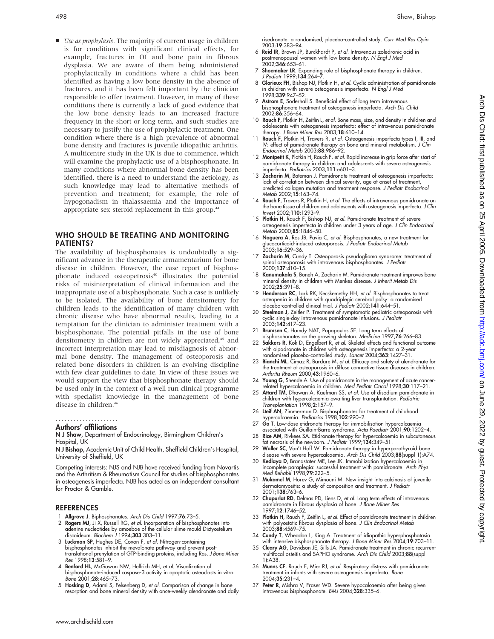• Use as prophylaxis. The majority of current usage in children is for conditions with significant clinical effects, for example, fractures in OI and bone pain in fibrous dysplasia. We are aware of them being administered prophylactically in conditions where a child has been identified as having a low bone density in the absence of fractures, and it has been felt important by the clinician responsible to offer treatment. However, in many of these conditions there is currently a lack of good evidence that the low bone density leads to an increased fracture frequency in the short or long term, and such studies are necessary to justify the use of prophylactic treatment. One condition where there is a high prevalence of abnormal bone density and fractures is juvenile idiopathic arthritis. A multicentre study in the UK is due to commence, which will examine the prophylactic use of a bisphosphonate. In many conditions where abnormal bone density has been identified, there is a need to understand the aetiology, as such knowledge may lead to alternative methods of prevention and treatment; for example, the role of hypogonadism in thalassaemia and the importance of appropriate sex steroid replacement in this group.<sup>44</sup>

# WHO SHOULD BE TREATING AND MONITORING PATIENTS?

The availability of bisphosphonates is undoubtedly a significant advance in the therapeutic armamentarium for bone disease in children. However, the case report of bisphosphonate induced osteopetrosis<sup>40</sup> illustrates the potential risks of misinterpretation of clinical information and the inappropriate use of a bisphosphonate. Such a case is unlikely to be isolated. The availability of bone densitometry for children leads to the identification of many children with chronic disease who have abnormal results, leading to a temptation for the clinician to administer treatment with a bisphosphonate. The potential pitfalls in the use of bone densitometry in children are not widely appreciated,<sup>45</sup> and incorrect interpretation may lead to misdiagnosis of abnormal bone density. The management of osteoporosis and related bone disorders in children is an evolving discipline with few clear guidelines to date. In view of these issues we would support the view that bisphosphonate therapy should be used only in the context of a well run clinical programme with specialist knowledge in the management of bone disease in children.<sup>46</sup>

#### Authors' affiliations .....................

#### N J Shaw, Department of Endocrinology, Birmingham Children's Hospital, UK

N J Bishop, Academic Unit of Child Health, Sheffield Children's Hospital, University of Sheffield, UK

Competing interests: NJS and NJB have received funding from Novartis and the Arthritism & Rheumatism Council for studies of bisphosphonates in osteogenesis imperfecta. NJB has acted as an independent consultant for Proctor & Gamble.

#### **REFERENCES**

- 1 Allgrove J. Biphosphonates. Arch Dis Child 1997;76:73–5.
- 2 Rogers MJ, Ji X, Russell RG, et al. Incorporation of bisphosphonates into adenine nucleotides by amoebae of the cellular slime mould Dictyostelium<br>discoideum. *Biochem J* 1994;**303**:303–11.
- 3 Luckman SP, Hughes DE, Coxon F, et al. Nitrogen-containing bisphosphonates inhibit the mevalonate pathway and prevent posttranslational prenylation of GTP-binding proteins, including Ras. J Bone Miner Res 1998;13:581–9.
- 4 Benford HL, McGowan NW, Helfrich MH, et al. Visualization of bisphosphonate-induced caspase-3 activity in apoptotic osteoclasts in vitro. Bone 2001;28:465–73.
- 5 Hosking D, Adami S, Felsenberg D, et al. Comparison of change in bone resorption and bone mineral density with once-weekly alendronate and daily

risedronate: a randomised, placebo-controlled study. Curr Med Res Opin 2003;19:383–94.

- 6 Reid IR, Brown JP, Burckhardt P, et al. Intravenous zoledronic acid in postmenopausal women with low bone density. N Engl J Med<br>2002;**346**:653–61.
- 7 Shoemaker LR. Expanding role of bisphosphonate therapy in children. J Pediatr 1999:134:264-
- 8 Glorieux FH, Bishop NJ, Plotkin H, et al. Cyclic administration of pamidronate in children with severe osteogenesis imperfecta. N Engl J Med 1998;339:947–52.
- 9 Astrom E, Soderhall S. Beneficial effect of long term intravenous bisphosphonate treatment of osteogenesis imperfecta. Arch Dis Child 2002;86:356–64.
- 10 Rauch F, Plotkin H, Zeitlin L, et al. Bone mass, size, and density in children and adolescents with osteogenesis imperfecta: effect of intravenous pamidronate therapy. J Bone Miner Res 2003;18:610–14.
- 11 Rauch F, Plotkin H, Travers R, et al. Osteogenesis imperfecta types I, III, and IV: effect of pamidronate therapy on bone and mineral metabolism. J Clin Endocrinol Metab 2003;88:986–92.
- 12 Montpetit K, Plotkin H, Rauch F, et al. Rapid increase in grip force after start of pamidronate therapy in children and adolescents with severe osteogenesis imperfecta. Pediatrics 2003;111:e601–3.
- 13 Zacharin M, Bateman J. Pamidronate treatment of osteogenesis imperfecta: lack of correlation between clinical severity, age at onset of treatment, predicted collagen mutation and treatment response. J Pediatr Endocrinol Metab 2002;15:163–74.
- 14 Rauch F, Travers R, Plotkin H, et al. The effects of intravenous pamidronate on the bone tissue of children and adolescents with osteogenesis imperfecta. J Clin Invest 2002;110:1293–9.
- 15 Plotkin H, Rauch F, Bishop NJ, et al. Pamidronate treatment of severe osteogenesis imperfecta in children under 3 years of age. J Clin Endocrinol Metab 2000;85:1846–50.
- 16 Noguera A, Ros JB, Pavia C, et al. Bisphosphonates, a new treatment for glucocorticoid-induced osteoporosis. *J Pediatr Endocrinol Metab*<br>2003;**16**:529–36.
- 17 Zacharin M, Cundy T. Osteoporosis pseudoglioma syndrome: treatment of spinal osteoporosis with intravenous bisphosphonates. J Pediatr 2000;137:410–15.
- 18 Kanumakala S, Boneh A, Zacharin M. Pamidronate treatment improves bone mineral density in children with Menkes disease. J Inherit Metab Dis 2002;25:391–8.
- 19 Henderson RC, Lark RK, Kecskemethy HH, et al. Bisphosphonates to treat osteopenia in children with quadriplegic cerebral palsy: a randomised<br>placebo-controlled clinical trial. *J Pediatr* 2002;**141**:644–51.
- 20 Steelman J, Zeitler P. Treatment of symptomatic pediatric osteoporosis with cyclic single-day intravenous pamidronate infusions. J Pediatr 2003;142:417–23.
- 
- 21 Brumsen C, Hamdy NAT, Papapoulos SE. Long term effects of<br>bisphosphonates on the growing skeleton. Medicine 1997;76:266–83.<br>22 Sakkers R, Kok D, Engelbert R, *et al.* Skeletal effects and functional outcome with olpadronate in children with osteogenesis imperfecta: a 2-year randomised placebo-controlled study. Lancet 2004;363:1427–31.
- 23 Bianchi ML, Cimaz R, Bardare M, et al. Efficacy and safety of alendronate for the treatment of osteoporosis in diffuse connective tissue diseases in children. Arthritis Rheum 2000;43:1960–6.
- 24 Young G, Shende A. Use of pamidronate in the management of acute cancer-related hypercalcaemia in children. Med Pediatr Oncol 1998;30:117–21.
- 25 Attard TM, Dhawan A, Kaufman SS, et al. Use of disodium pamidronate in children with hypercalcaemia awaiting liver transplantation. Pediatric Transplantation 1998;2:157–9.
- 26 Lteif AN, Zimmerman D. Bisphosphonates for treatment of childhood hypercalcaemia. Pediatrics 1998;102:990–2.
- 27 Go T. Low-dose etidronate therapy for immobilisation hypercalcaemia associated with Guillain-Barre syndrome. Acta Paediatr 2001;90:1202–4.
- 28 Rice AM, Rivkees SA. Etidronate therapy for hypercalcaemia in subcutaneous fat necrosis of the newborn. J Pediatr 1999;134:349–51.
- 29 Waller SC, Van't Hoff W. Pamidronate therapy in hyperparathyroid bone
- disease with severe hypercalcaemia. Ar*ch Dis Child* 2003;**88**(suppl 1):A74.<br>30 **Kedlaya D**, Brandstater ME, Lee JK. Immobilization hypercalcaemia in<br>incomplete paraplegia: successful treatment with pamidronate. Ar*ch Phys* Med Rehabil 1998;79:222–5.
- 31 Mukamel M, Horev G, Mimouni M. New insight into calcinosis of juvenile dermatomyositis: a study of composition and treatment. J Pediatr 2001;138:763–6.
- 32 Chapurlat RD, Delmas PD, Liens D, et al. Long term effects of intravenous pamidronate in fibrous dysplasia of bone. J Bone Miner Res 1997;12:1746–52.
- 33 Plotkin H, Rauch F, Zeitlin L, et al. Effect of pamidronate treatment in children with polyostotic fibrous dysplasia of bone. J Clin Endocrinol Metab 2003;88:4569–75.
- 34 Cundy T, Wheadon L, King A. Treatment of idiopathic hyperphosphatasia with intensive bisphosphonate therapy. J Bone Miner Res 2004;19:703–11.
- 35 Cleary AG, Davidson JE, Sills JA. Pamidronate treatment in chronic recurrent multifocal osteitis and SAPHO syndrome. Arch Dis Child 2003;88(suppl 1):A38.
- 36 Munns CF, Rauch F, Mier RJ, et al. Respiratory distress with pamidronate treatment in infants with severe osteogenesis imperfecta. Bone 2004;35:231–4.
- 37 Peter R, Mishra V, Fraser WD. Severe hypocalcaemia after being given intravenous bisphosphonate. BMJ 2004;328:335–6.